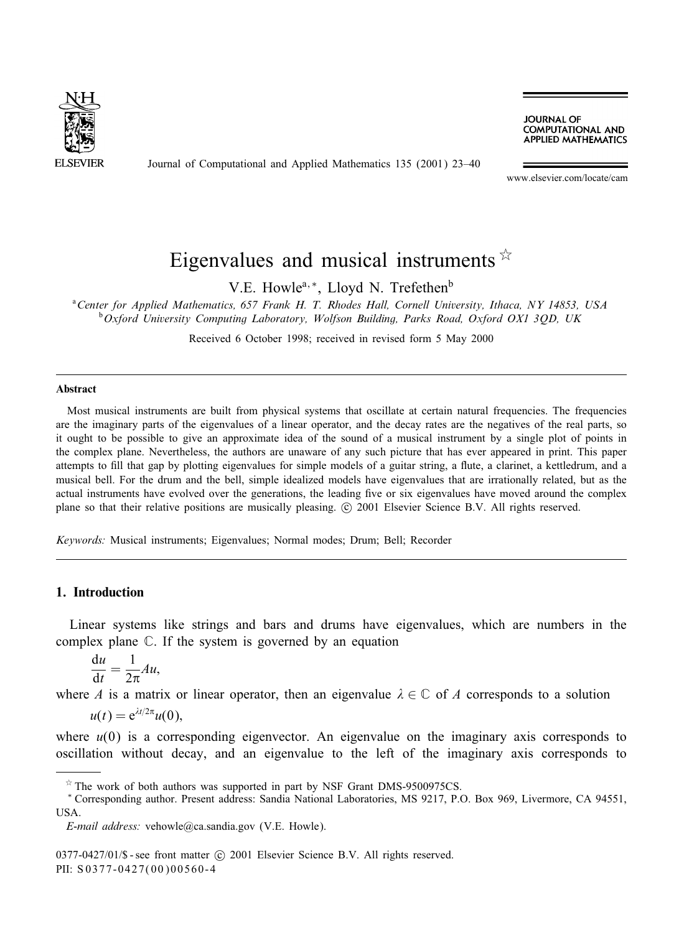

Journal of Computational and Applied Mathematics 135 (2001) 23–40

**JOURNAL OF COMPUTATIONAL AND APPLIED MATHEMATICS** 

www.elsevier.com/locate/cam

# Eigenvalues and musical instruments  $\overline{x}$

V.E. Howle<sup>a,\*</sup>, Lloyd N. Trefethen<sup>b</sup>

a *Center for Applied Mathematics, 657 Frank H. T. Rhodes Hall, Cornell University, Ithaca, NY 14853, USA* b *Oxford University Computing Laboratory, Wolfson Building, Parks Road, Oxford OX1 3QD, UK*

Received 6 October 1998; received in revised form 5 May 2000

#### Abstract

Most musical instruments are built from physical systems that oscillate at certain natural frequencies. The frequencies are the imaginary parts of the eigenvalues of a linear operator, and the decay rates are the negatives of the real parts, so it ought to be possible to give an approximate idea of the sound of a musical instrument by a single plot of points in the complex plane. Nevertheless, the authors are unaware of any such picture that has ever appeared in print. This paper attempts to fill that gap by plotting eigenvalues for simple models of a guitar string, a flute, a clarinet, a kettledrum, and a musical bell. For the drum and the bell, simple idealized models have eigenvalues that are irrationally related, but as the actual instruments have evolved over the generations, the leading five or six eigenvalues have moved around the complex plane so that their relative positions are musically pleasing. © 2001 Elsevier Science B.V. All rights reserved.

*Keywords:* Musical instruments; Eigenvalues; Normal modes; Drum; Bell; Recorder

## 1. Introduction

Linear systems like strings and bars and drums have eigenvalues, which are numbers in the complex plane C. If the system is governed by an equation

$$
\frac{\mathrm{d}u}{\mathrm{d}t} = \frac{1}{2\pi}Au,
$$

where A is a matrix or linear operator, then an eigenvalue  $\lambda \in \mathbb{C}$  of A corresponds to a solution

$$
u(t) = e^{\lambda t/2\pi}u(0),
$$

where  $u(0)$  is a corresponding eigenvector. An eigenvalue on the imaginary axis corresponds to oscillation without decay, and an eigenvalue to the left of the imaginary axis corresponds to

 $*$  The work of both authors was supported in part by NSF Grant DMS-9500975CS.

<sup>∗</sup> Corresponding author. Present address: Sandia National Laboratories, MS 9217, P.O. Box 969, Livermore, CA 94551, USA.

*E-mail address:* vehowle@ca.sandia.gov (V.E. Howle).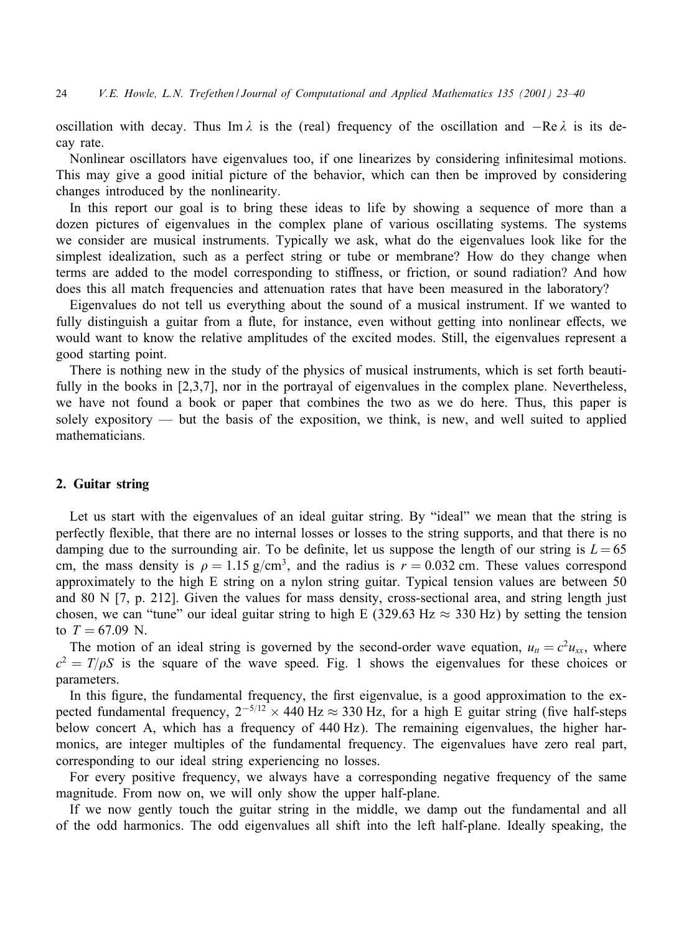oscillation with decay. Thus Im  $\lambda$  is the (real) frequency of the oscillation and  $-\text{Re }\lambda$  is its decay rate.

Nonlinear oscillators have eigenvalues too, if one linearizes by considering infinitesimal motions. This may give a good initial picture of the behavior, which can then be improved by considering changes introduced by the nonlinearity.

In this report our goal is to bring these ideas to life by showing a sequence of more than a dozen pictures of eigenvalues in the complex plane of various oscillating systems. The systems we consider are musical instruments. Typically we ask, what do the eigenvalues look like for the simplest idealization, such as a perfect string or tube or membrane? How do they change when terms are added to the model corresponding to stiffness, or friction, or sound radiation? And how does this all match frequencies and attenuation rates that have been measured in the laboratory?

Eigenvalues do not tell us everything about the sound of a musical instrument. If we wanted to fully distinguish a guitar from a flute, for instance, even without getting into nonlinear effects, we would want to know the relative amplitudes of the excited modes. Still, the eigenvalues represent a good starting point.

There is nothing new in the study of the physics of musical instruments, which is set forth beautifully in the books in [2,3,7], nor in the portrayal of eigenvalues in the complex plane. Nevertheless, we have not found a book or paper that combines the two as we do here. Thus, this paper is solely expository — but the basis of the exposition, we think, is new, and well suited to applied mathematicians.

## 2. Guitar string

Let us start with the eigenvalues of an ideal guitar string. By "ideal" we mean that the string is perfectly flexible, that there are no internal losses or losses to the string supports, and that there is no damping due to the surrounding air. To be definite, let us suppose the length of our string is  $L = 65$ cm, the mass density is  $\rho = 1.15$  g/cm<sup>3</sup>, and the radius is  $r = 0.032$  cm. These values correspond approximately to the high E string on a nylon string guitar. Typical tension values are between 50 and 80 N [7, p. 212]. Given the values for mass density, cross-sectional area, and string length just chosen, we can "tune" our ideal guitar string to high E (329.63 Hz  $\approx$  330 Hz) by setting the tension to  $T = 67.09$  N.

The motion of an ideal string is governed by the second-order wave equation,  $u_{tt} = c^2 u_{xx}$ , where  $c^2 = T/\rho S$  is the square of the wave speed. Fig. 1 shows the eigenvalues for these choices or parameters.

In this figure, the fundamental frequency, the first eigenvalue, is a good approximation to the expected fundamental frequency,  $2^{-5/12} \times 440$  Hz  $\approx 330$  Hz, for a high E guitar string (five half-steps below concert A, which has a frequency of 440 Hz). The remaining eigenvalues, the higher harmonics, are integer multiples of the fundamental frequency. The eigenvalues have zero real part, corresponding to our ideal string experiencing no losses.

For every positive frequency, we always have a corresponding negative frequency of the same magnitude. From now on, we will only show the upper half-plane.

If we now gently touch the guitar string in the middle, we damp out the fundamental and all of the odd harmonics. The odd eigenvalues all shift into the left half-plane. Ideally speaking, the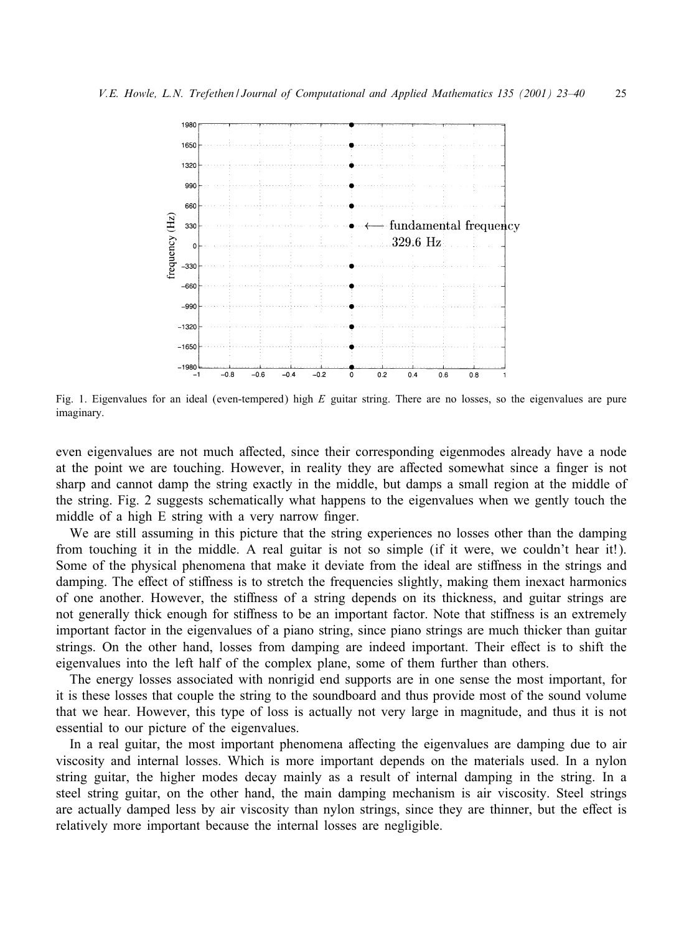

Fig. 1. Eigenvalues for an ideal (even-tempered) high  $E$  guitar string. There are no losses, so the eigenvalues are pure imaginary.

even eigenvalues are not much affected, since their corresponding eigenmodes already have a node at the point we are touching. However, in reality they are affected somewhat since a finger is not sharp and cannot damp the string exactly in the middle, but damps a small region at the middle of the string. Fig. 2 suggests schematically what happens to the eigenvalues when we gently touch the middle of a high E string with a very narrow finger.

We are still assuming in this picture that the string experiences no losses other than the damping from touching it in the middle. A real guitar is not so simple (if it were, we couldn't hear it!). Some of the physical phenomena that make it deviate from the ideal are stiffness in the strings and damping. The effect of stiffness is to stretch the frequencies slightly, making them inexact harmonics of one another. However, the stiffness of a string depends on its thickness, and guitar strings are not generally thick enough for stiffness to be an important factor. Note that stiffness is an extremely important factor in the eigenvalues of a piano string, since piano strings are much thicker than guitar strings. On the other hand, losses from damping are indeed important. Their effect is to shift the eigenvalues into the left half of the complex plane, some of them further than others.

The energy losses associated with nonrigid end supports are in one sense the most important, for it is these losses that couple the string to the soundboard and thus provide most of the sound volume that we hear. However, this type of loss is actually not very large in magnitude, and thus it is not essential to our picture of the eigenvalues.

In a real guitar, the most important phenomena aGecting the eigenvalues are damping due to air viscosity and internal losses. Which is more important depends on the materials used. In a nylon string guitar, the higher modes decay mainly as a result of internal damping in the string. In a steel string guitar, on the other hand, the main damping mechanism is air viscosity. Steel strings are actually damped less by air viscosity than nylon strings, since they are thinner, but the effect is relatively more important because the internal losses are negligible.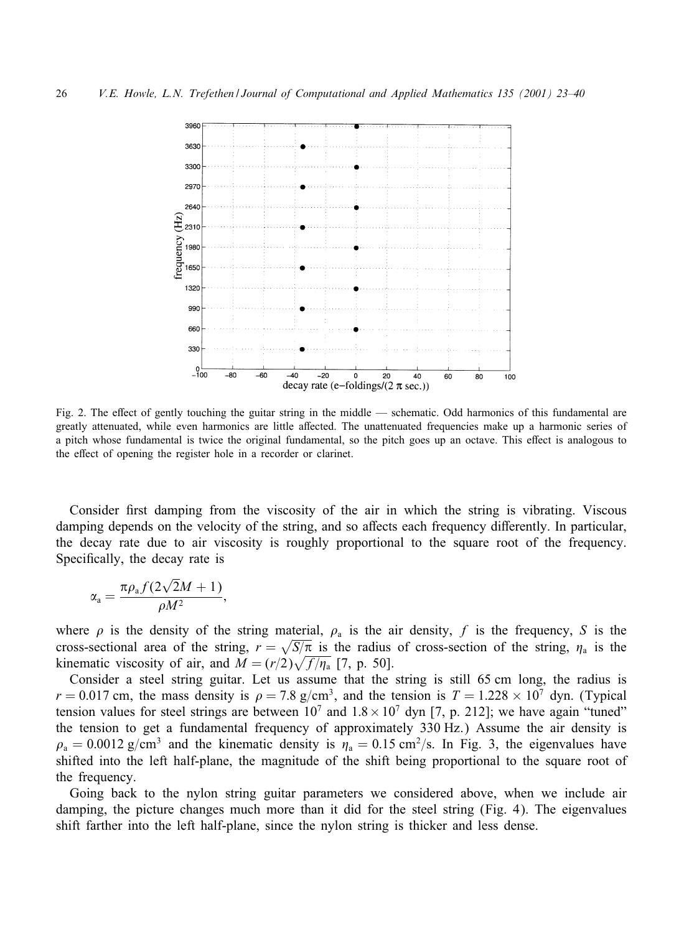

Fig. 2. The effect of gently touching the guitar string in the middle — schematic. Odd harmonics of this fundamental are greatly attenuated, while even harmonics are little aGected. The unattenuated frequencies make up a harmonic series of a pitch whose fundamental is twice the original fundamental, so the pitch goes up an octave. This effect is analogous to the effect of opening the register hole in a recorder or clarinet.

Consider first damping from the viscosity of the air in which the string is vibrating. Viscous damping depends on the velocity of the string, and so affects each frequency differently. In particular, the decay rate due to air viscosity is roughly proportional to the square root of the frequency. Specifically, the decay rate is

$$
\alpha_{\rm a} = \frac{\pi \rho_{\rm a} f(2\sqrt{2}M + 1)}{\rho M^2},
$$

where  $\rho$  is the density of the string material,  $\rho_a$  is the air density, f is the frequency, S is the cross-sectional area of the string,  $r = \sqrt{S/\pi}$  is the radius of cross-section of the string,  $\eta_a$  is the kinematic viscosity of air, and  $M = (r/2)\sqrt{f/\eta_a}$  [7, p. 50].

Consider a steel string guitar. Let us assume that the string is still 65 cm long, the radius is  $r = 0.017$  cm, the mass density is  $\rho = 7.8$  g/cm<sup>3</sup>, and the tension is  $T = 1.228 \times 10^7$  dyn. (Typical tension values for steel strings are between  $10^7$  and  $1.8 \times 10^7$  dyn [7, p. 212]; we have again "tuned" the tension to get a fundamental frequency of approximately 330 Hz.) Assume the air density is  $\rho_a = 0.0012$  g/cm<sup>3</sup> and the kinematic density is  $\eta_a = 0.15$  cm<sup>2</sup>/s. In Fig. 3, the eigenvalues have shifted into the left half-plane, the magnitude of the shift being proportional to the square root of the frequency.

Going back to the nylon string guitar parameters we considered above, when we include air damping, the picture changes much more than it did for the steel string (Fig. 4). The eigenvalues shift farther into the left half-plane, since the nylon string is thicker and less dense.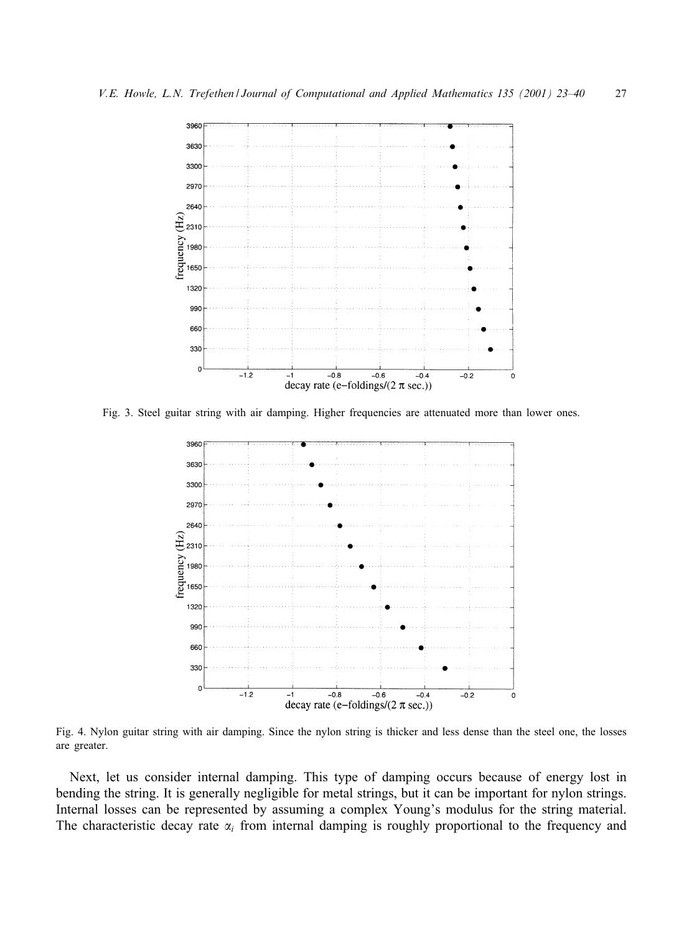

Fig. 3. Steel guitar string with air damping. Higher frequencies are attenuated more than lower ones.



Fig. 4. Nylon guitar string with air damping. Since the nylon string is thicker and less dense than the steel one, the losses are greater.

Next, let us consider internal damping. This type of damping occurs because of energy lost in bending the string. It is generally negligible for metal strings, but it can be important for nylon strings. Internal losses can be represented by assuming a complex Young's modulus for the string material. The characteristic decay rate  $\alpha_i$  from internal damping is roughly proportional to the frequency and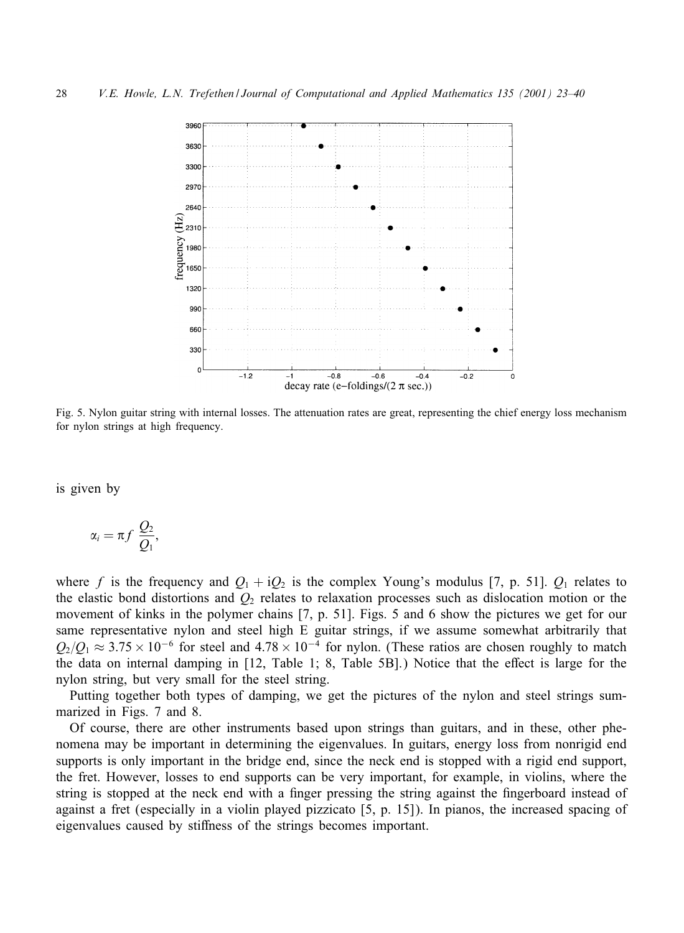

Fig. 5. Nylon guitar string with internal losses. The attenuation rates are great, representing the chief energy loss mechanism for nylon strings at high frequency.

is given by

$$
\alpha_i = \pi f \frac{Q_2}{Q_1},
$$

where f is the frequency and  $Q_1 + iQ_2$  is the complex Young's modulus [7, p. 51].  $Q_1$  relates to the elastic bond distortions and  $Q_2$  relates to relaxation processes such as dislocation motion or the movement of kinks in the polymer chains [7, p. 51]. Figs. 5 and 6 show the pictures we get for our same representative nylon and steel high E guitar strings, if we assume somewhat arbitrarily that  $Q_2/Q_1 \approx 3.75 \times 10^{-6}$  for steel and  $4.78 \times 10^{-4}$  for nylon. (These ratios are chosen roughly to match the data on internal damping in [12, Table 1; 8, Table 5B].) Notice that the effect is large for the nylon string, but very small for the steel string.

Putting together both types of damping, we get the pictures of the nylon and steel strings summarized in Figs. 7 and 8.

Of course, there are other instruments based upon strings than guitars, and in these, other phenomena may be important in determining the eigenvalues. In guitars, energy loss from nonrigid end supports is only important in the bridge end, since the neck end is stopped with a rigid end support, the fret. However, losses to end supports can be very important, for example, in violins, where the string is stopped at the neck end with a finger pressing the string against the fingerboard instead of against a fret (especially in a violin played pizzicato [5, p. 15]). In pianos, the increased spacing of eigenvalues caused by stiffness of the strings becomes important.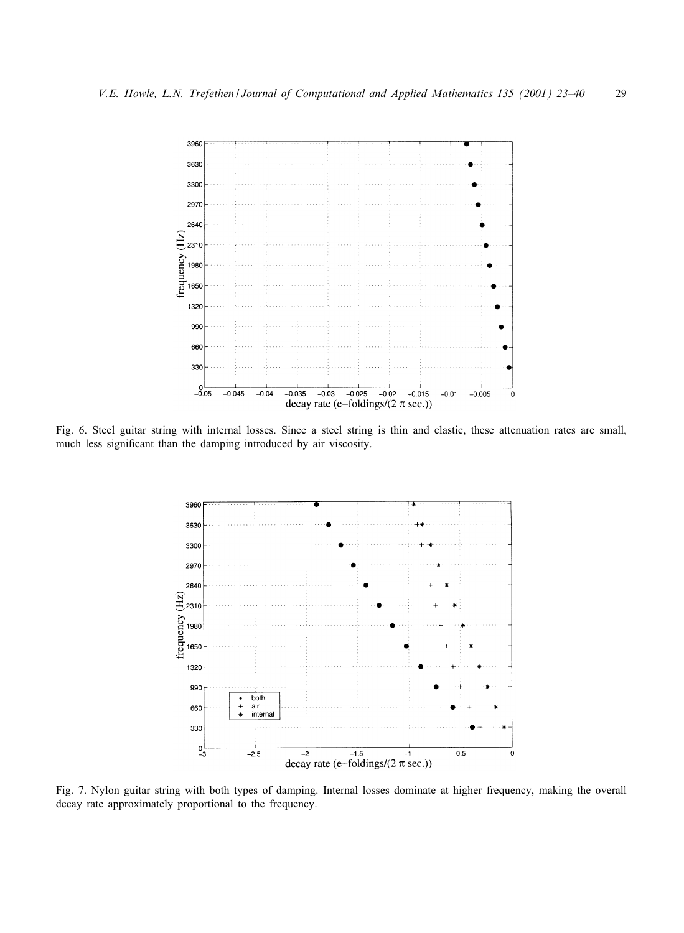

Fig. 6. Steel guitar string with internal losses. Since a steel string is thin and elastic, these attenuation rates are small, much less significant than the damping introduced by air viscosity.



Fig. 7. Nylon guitar string with both types of damping. Internal losses dominate at higher frequency, making the overall decay rate approximately proportional to the frequency.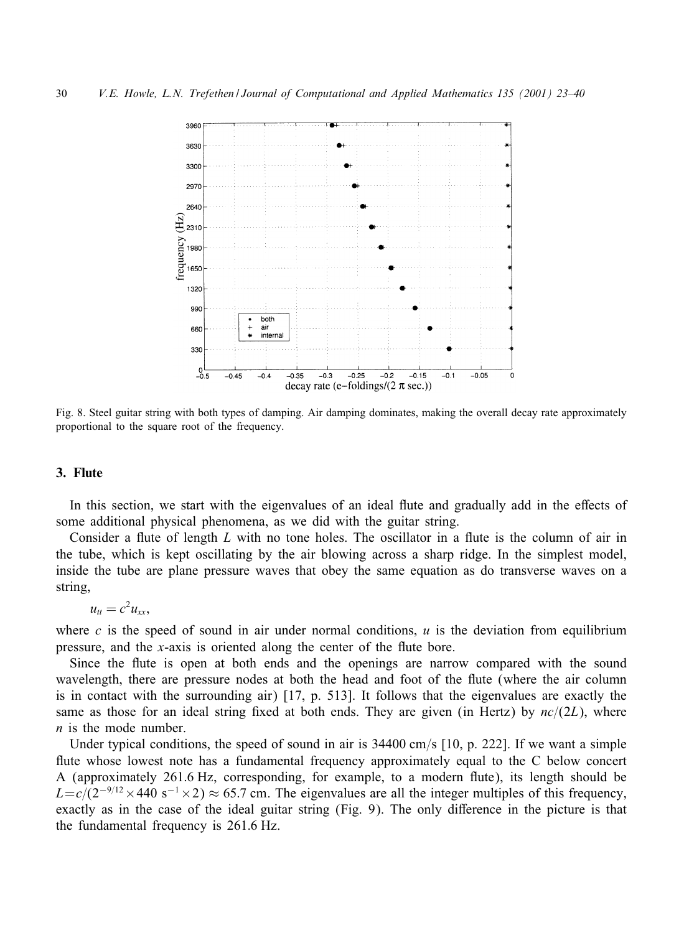

Fig. 8. Steel guitar string with both types of damping. Air damping dominates, making the overall decay rate approximately proportional to the square root of the frequency.

# 3. Flute

In this section, we start with the eigenvalues of an ideal flute and gradually add in the effects of some additional physical phenomena, as we did with the guitar string.

Consider a flute of length  $L$  with no tone holes. The oscillator in a flute is the column of air in the tube, which is kept oscillating by the air blowing across a sharp ridge. In the simplest model, inside the tube are plane pressure waves that obey the same equation as do transverse waves on a string,

$$
u_{tt}=c^2u_{xx},
$$

where c is the speed of sound in air under normal conditions,  $u$  is the deviation from equilibrium pressure, and the x-axis is oriented along the center of the flute bore.

Since the flute is open at both ends and the openings are narrow compared with the sound wavelength, there are pressure nodes at both the head and foot of the flute (where the air column is in contact with the surrounding air) [17, p. 513]. It follows that the eigenvalues are exactly the same as those for an ideal string fixed at both ends. They are given (in Hertz) by  $nc/(2L)$ , where  $n$  is the mode number.

Under typical conditions, the speed of sound in air is  $34400 \text{ cm/s}$  [10, p. 222]. If we want a simple flute whose lowest note has a fundamental frequency approximately equal to the C below concert A (approximately 261:6 Hz, corresponding, for example, to a modern 5ute), its length should be  $L=c/(2^{-9/12}\times 440 \text{ s}^{-1}\times 2) \approx 65.7 \text{ cm}$ . The eigenvalues are all the integer multiples of this frequency, exactly as in the case of the ideal guitar string (Fig. 9). The only difference in the picture is that the fundamental frequency is 261:6 Hz.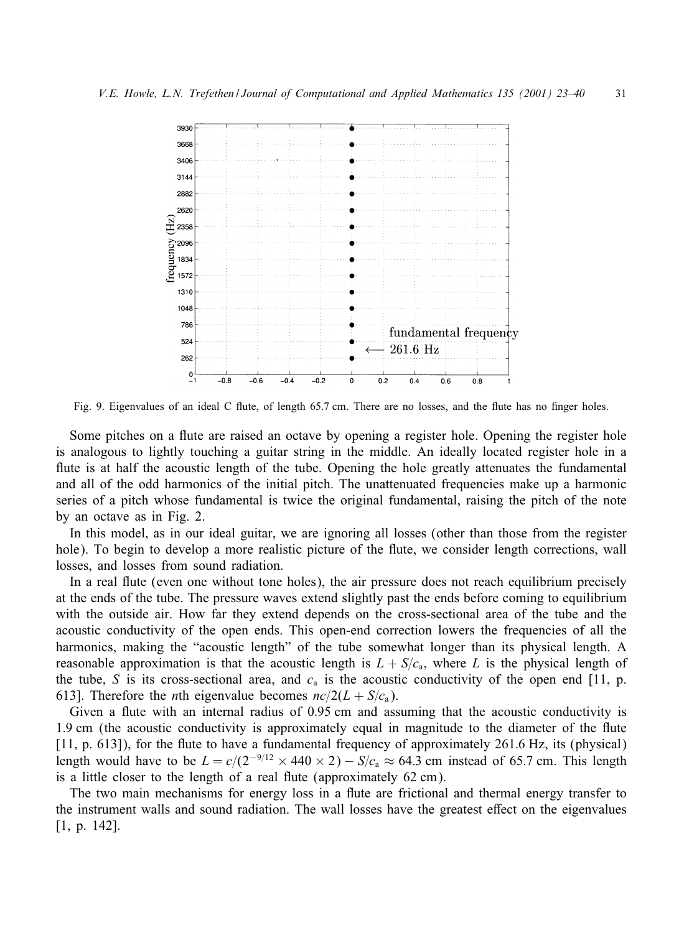

Fig. 9. Eigenvalues of an ideal C flute, of length 65.7 cm. There are no losses, and the flute has no finger holes.

Some pitches on a flute are raised an octave by opening a register hole. Opening the register hole is analogous to lightly touching a guitar string in the middle. An ideally located register hole in a flute is at half the acoustic length of the tube. Opening the hole greatly attenuates the fundamental and all of the odd harmonics of the initial pitch. The unattenuated frequencies make up a harmonic series of a pitch whose fundamental is twice the original fundamental, raising the pitch of the note by an octave as in Fig. 2.

In this model, as in our ideal guitar, we are ignoring all losses (other than those from the register hole). To begin to develop a more realistic picture of the flute, we consider length corrections, wall losses, and losses from sound radiation.

In a real flute (even one without tone holes), the air pressure does not reach equilibrium precisely at the ends of the tube. The pressure waves extend slightly past the ends before coming to equilibrium with the outside air. How far they extend depends on the cross-sectional area of the tube and the acoustic conductivity of the open ends. This open-end correction lowers the frequencies of all the harmonics, making the "acoustic length" of the tube somewhat longer than its physical length. A reasonable approximation is that the acoustic length is  $L + S/c<sub>a</sub>$ , where L is the physical length of the tube, S is its cross-sectional area, and  $c<sub>a</sub>$  is the acoustic conductivity of the open end [11, p. 613]. Therefore the *n*th eigenvalue becomes  $nc/2(L + S/c<sub>a</sub>)$ .

Given a flute with an internal radius of  $0.95$  cm and assuming that the acoustic conductivity is 1.9 cm (the acoustic conductivity is approximately equal in magnitude to the diameter of the flute [11, p. 613]), for the flute to have a fundamental frequency of approximately 261.6 Hz, its (physical) length would have to be  $L = c/(2^{-9/12} \times 440 \times 2) - S/c_a \approx 64.3$  cm instead of 65.7 cm. This length is a little closer to the length of a real flute (approximately 62 cm).

The two main mechanisms for energy loss in a flute are frictional and thermal energy transfer to the instrument walls and sound radiation. The wall losses have the greatest eGect on the eigenvalues [1, p. 142].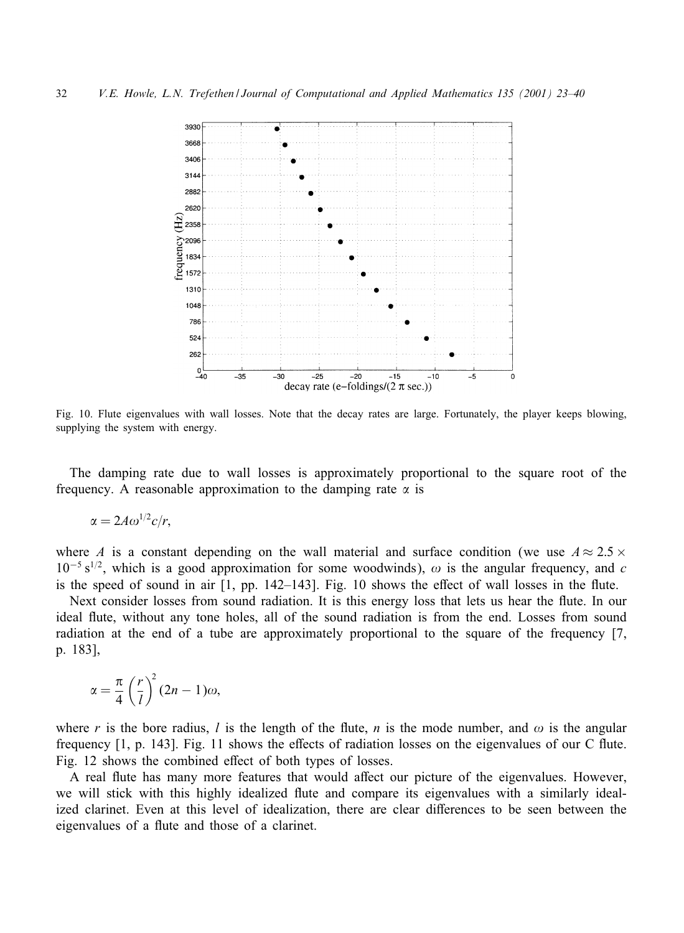

Fig. 10. Flute eigenvalues with wall losses. Note that the decay rates are large. Fortunately, the player keeps blowing, supplying the system with energy.

The damping rate due to wall losses is approximately proportional to the square root of the frequency. A reasonable approximation to the damping rate  $\alpha$  is

$$
\alpha = 2A\omega^{1/2}c/r,
$$

where A is a constant depending on the wall material and surface condition (we use  $A \approx 2.5 \times$  $10^{-5}$  s<sup>1/2</sup>, which is a good approximation for some woodwinds),  $\omega$  is the angular frequency, and c is the speed of sound in air  $[1, pp. 142-143]$ . Fig. 10 shows the effect of wall losses in the flute.

Next consider losses from sound radiation. It is this energy loss that lets us hear the flute. In our ideal flute, without any tone holes, all of the sound radiation is from the end. Losses from sound radiation at the end of a tube are approximately proportional to the square of the frequency [7, p. 183],

$$
\alpha = \frac{\pi}{4} \left(\frac{r}{l}\right)^2 (2n-1)\omega,
$$

where r is the bore radius, l is the length of the flute, n is the mode number, and  $\omega$  is the angular frequency  $[1, p. 143]$ . Fig. 11 shows the effects of radiation losses on the eigenvalues of our C flute. Fig. 12 shows the combined effect of both types of losses.

A real flute has many more features that would affect our picture of the eigenvalues. However, we will stick with this highly idealized flute and compare its eigenvalues with a similarly idealized clarinet. Even at this level of idealization, there are clear differences to be seen between the eigenvalues of a flute and those of a clarinet.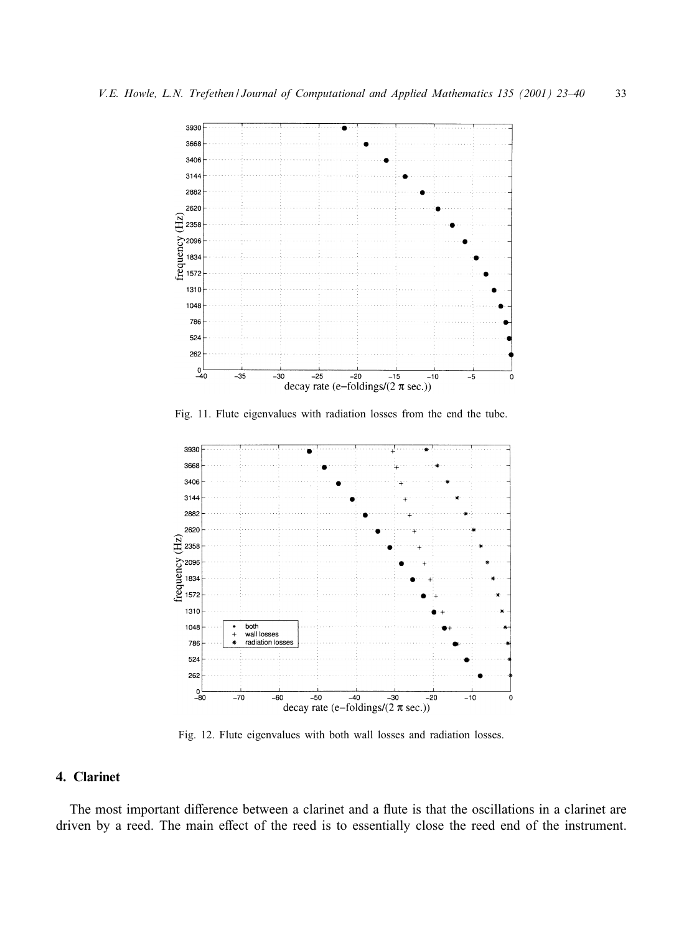

Fig. 11. Flute eigenvalues with radiation losses from the end the tube.



Fig. 12. Flute eigenvalues with both wall losses and radiation losses.

# 4. Clarinet

The most important difference between a clarinet and a flute is that the oscillations in a clarinet are driven by a reed. The main effect of the reed is to essentially close the reed end of the instrument.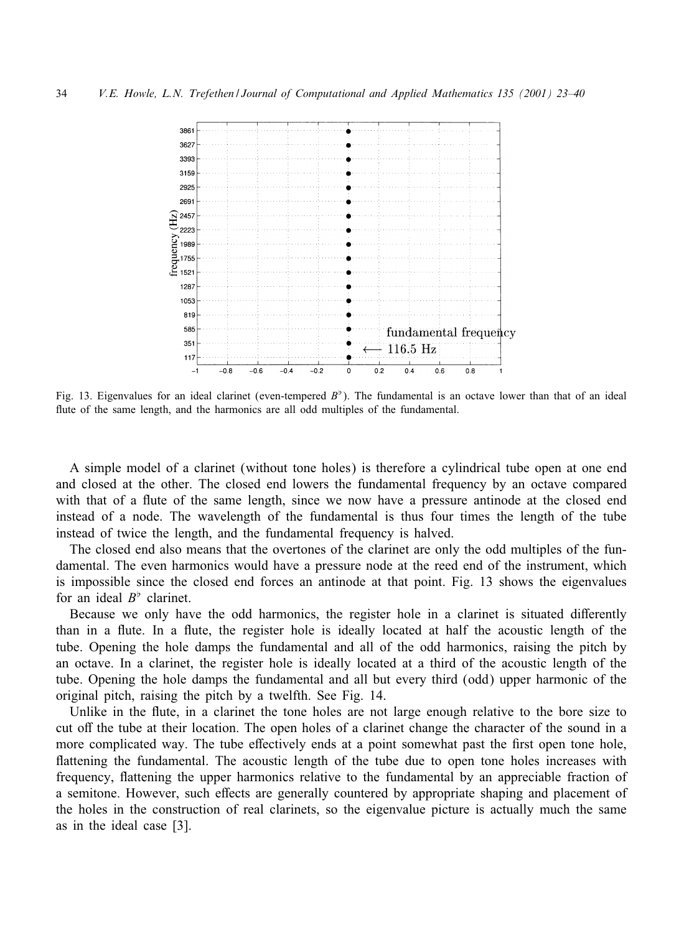

Fig. 13. Eigenvalues for an ideal clarinet (even-tempered  $B^{\dagger}$ ). The fundamental is an octave lower than that of an ideal flute of the same length, and the harmonics are all odd multiples of the fundamental.

A simple model of a clarinet (without tone holes) is therefore a cylindrical tube open at one end and closed at the other. The closed end lowers the fundamental frequency by an octave compared with that of a flute of the same length, since we now have a pressure antinode at the closed end instead of a node. The wavelength of the fundamental is thus four times the length of the tube instead of twice the length, and the fundamental frequency is halved.

The closed end also means that the overtones of the clarinet are only the odd multiples of the fundamental. The even harmonics would have a pressure node at the reed end of the instrument, which is impossible since the closed end forces an antinode at that point. Fig. 13 shows the eigenvalues for an ideal  $B^{\flat}$  clarinet.

Because we only have the odd harmonics, the register hole in a clarinet is situated differently than in a flute. In a flute, the register hole is ideally located at half the acoustic length of the tube. Opening the hole damps the fundamental and all of the odd harmonics, raising the pitch by an octave. In a clarinet, the register hole is ideally located at a third of the acoustic length of the tube. Opening the hole damps the fundamental and all but every third (odd) upper harmonic of the original pitch, raising the pitch by a twelfth. See Fig. 14.

Unlike in the flute, in a clarinet the tone holes are not large enough relative to the bore size to cut off the tube at their location. The open holes of a clarinet change the character of the sound in a more complicated way. The tube effectively ends at a point somewhat past the first open tone hole, flattening the fundamental. The acoustic length of the tube due to open tone holes increases with frequency, flattening the upper harmonics relative to the fundamental by an appreciable fraction of a semitone. However, such effects are generally countered by appropriate shaping and placement of the holes in the construction of real clarinets, so the eigenvalue picture is actually much the same as in the ideal case [3].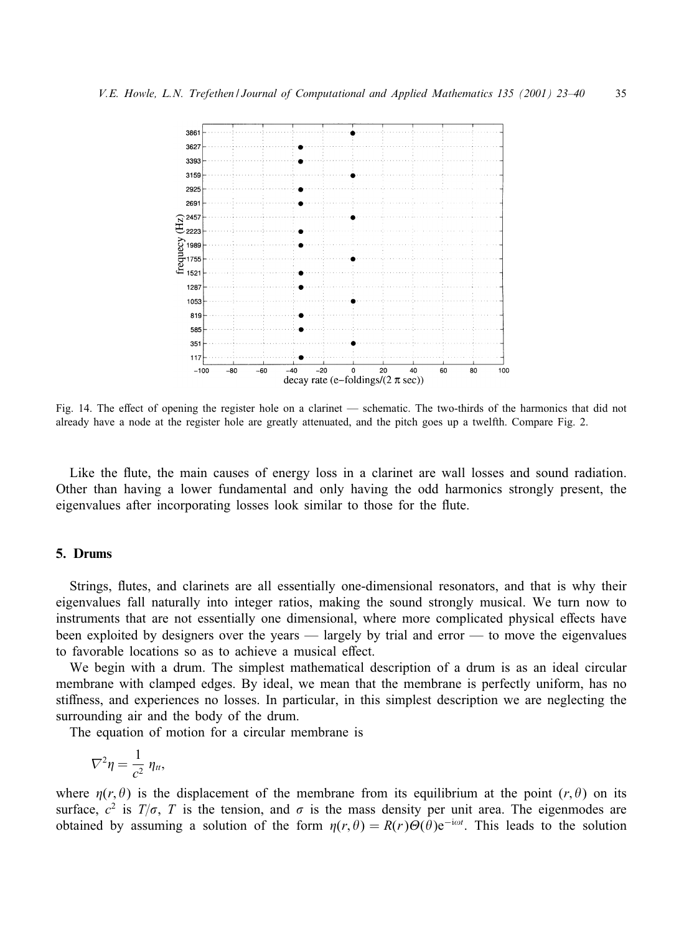

Fig. 14. The effect of opening the register hole on a clarinet — schematic. The two-thirds of the harmonics that did not already have a node at the register hole are greatly attenuated, and the pitch goes up a twelfth. Compare Fig. 2.

Like the flute, the main causes of energy loss in a clarinet are wall losses and sound radiation. Other than having a lower fundamental and only having the odd harmonics strongly present, the eigenvalues after incorporating losses look similar to those for the flute.

# 5. Drums

Strings, flutes, and clarinets are all essentially one-dimensional resonators, and that is why their eigenvalues fall naturally into integer ratios, making the sound strongly musical. We turn now to instruments that are not essentially one dimensional, where more complicated physical effects have been exploited by designers over the years — largely by trial and error — to move the eigenvalues to favorable locations so as to achieve a musical effect.

We begin with a drum. The simplest mathematical description of a drum is as an ideal circular membrane with clamped edges. By ideal, we mean that the membrane is perfectly uniform, has no stiffness, and experiences no losses. In particular, in this simplest description we are neglecting the surrounding air and the body of the drum.

The equation of motion for a circular membrane is

$$
\nabla^2 \eta = \frac{1}{c^2} \eta_{tt},
$$

where  $\eta(r, \theta)$  is the displacement of the membrane from its equilibrium at the point  $(r, \theta)$  on its surface,  $c^2$  is  $T/\sigma$ , T is the tension, and  $\sigma$  is the mass density per unit area. The eigenmodes are obtained by assuming a solution of the form  $\eta(r, \theta) = R(r)\Theta(\theta)e^{-i\omega t}$ . This leads to the solution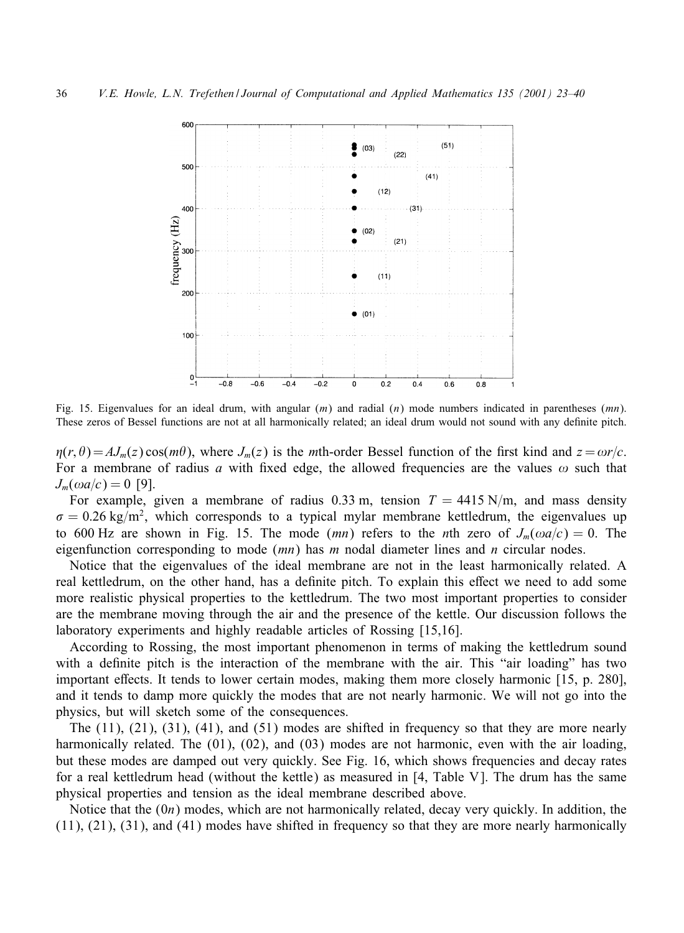

Fig. 15. Eigenvalues for an ideal drum, with angular  $(m)$  and radial  $(n)$  mode numbers indicated in parentheses  $(mn)$ . These zeros of Bessel functions are not at all harmonically related; an ideal drum would not sound with any definite pitch.

 $\eta(r, \theta) = AJ_m(z) \cos(m\theta)$ , where  $J_m(z)$  is the mth-order Bessel function of the first kind and  $z = \omega r/c$ . For a membrane of radius a with fixed edge, the allowed frequencies are the values  $\omega$  such that  $J_m(\omega a/c) = 0$  [9].

For example, given a membrane of radius 0.33 m, tension  $T = 4415$  N/m, and mass density  $\sigma = 0.26$  kg/m<sup>2</sup>, which corresponds to a typical mylar membrane kettledrum, the eigenvalues up to 600 Hz are shown in Fig. 15. The mode (mn) refers to the nth zero of  $J_m(\omega a/c) = 0$ . The eigenfunction corresponding to mode  $(mn)$  has m nodal diameter lines and n circular nodes.

Notice that the eigenvalues of the ideal membrane are not in the least harmonically related. A real kettledrum, on the other hand, has a definite pitch. To explain this effect we need to add some more realistic physical properties to the kettledrum. The two most important properties to consider are the membrane moving through the air and the presence of the kettle. Our discussion follows the laboratory experiments and highly readable articles of Rossing [15,16].

According to Rossing, the most important phenomenon in terms of making the kettledrum sound with a definite pitch is the interaction of the membrane with the air. This "air loading" has two important effects. It tends to lower certain modes, making them more closely harmonic [15, p. 280], and it tends to damp more quickly the modes that are not nearly harmonic. We will not go into the physics, but will sketch some of the consequences.

The (11), (21), (31), (41), and (51) modes are shifted in frequency so that they are more nearly harmonically related. The (01), (02), and (03) modes are not harmonic, even with the air loading, but these modes are damped out very quickly. See Fig. 16, which shows frequencies and decay rates for a real kettledrum head (without the kettle) as measured in [4, Table V ]. The drum has the same physical properties and tension as the ideal membrane described above.

Notice that the  $(0n)$  modes, which are not harmonically related, decay very quickly. In addition, the (11), (21), (31), and (41) modes have shifted in frequency so that they are more nearly harmonically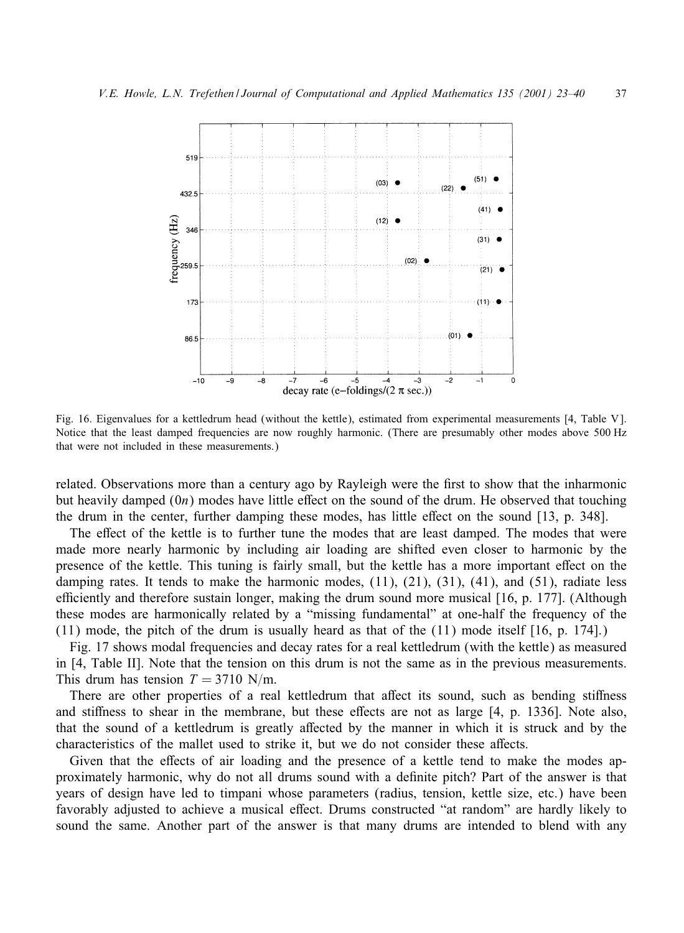

Fig. 16. Eigenvalues for a kettledrum head (without the kettle), estimated from experimental measurements [4, Table V ]. Notice that the least damped frequencies are now roughly harmonic. (There are presumably other modes above 500 Hz that were not included in these measurements.)

related. Observations more than a century ago by Rayleigh were the first to show that the inharmonic but heavily damped  $(0n)$  modes have little effect on the sound of the drum. He observed that touching the drum in the center, further damping these modes, has little effect on the sound [13, p. 348].

The effect of the kettle is to further tune the modes that are least damped. The modes that were made more nearly harmonic by including air loading are shifted even closer to harmonic by the presence of the kettle. This tuning is fairly small, but the kettle has a more important eGect on the damping rates. It tends to make the harmonic modes, (11), (21), (31), (41), and (51), radiate less efficiently and therefore sustain longer, making the drum sound more musical  $[16, p. 177]$ . (Although these modes are harmonically related by a "missing fundamental" at one-half the frequency of the (11) mode, the pitch of the drum is usually heard as that of the (11) mode itself [16, p. 174].)

Fig. 17 shows modal frequencies and decay rates for a real kettledrum (with the kettle) as measured in [4, Table II]. Note that the tension on this drum is not the same as in the previous measurements. This drum has tension  $T = 3710$  N/m.

There are other properties of a real kettledrum that affect its sound, such as bending stiffness and stiffness to shear in the membrane, but these effects are not as large [4, p. 1336]. Note also, that the sound of a kettledrum is greatly affected by the manner in which it is struck and by the characteristics of the mallet used to strike it, but we do not consider these affects.

Given that the effects of air loading and the presence of a kettle tend to make the modes approximately harmonic, why do not all drums sound with a definite pitch? Part of the answer is that years of design have led to timpani whose parameters (radius, tension, kettle size, etc.) have been favorably adjusted to achieve a musical effect. Drums constructed "at random" are hardly likely to sound the same. Another part of the answer is that many drums are intended to blend with any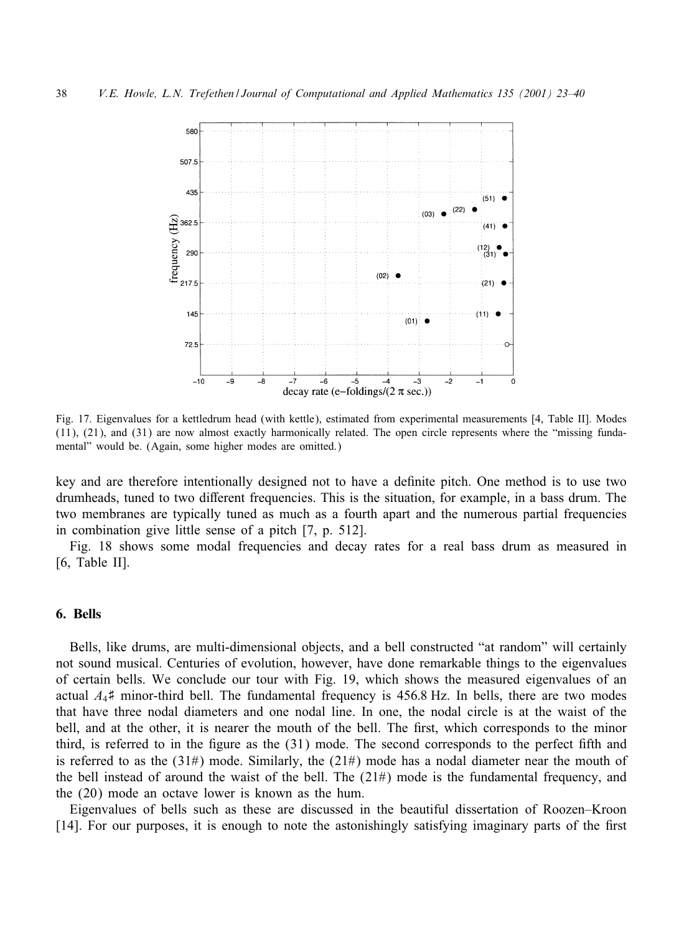

Fig. 17. Eigenvalues for a kettledrum head (with kettle), estimated from experimental measurements [4, Table II]. Modes (11), (21), and (31) are now almost exactly harmonically related. The open circle represents where the "missing fundamental" would be. (Again, some higher modes are omitted.)

key and are therefore intentionally designed not to have a definite pitch. One method is to use two drumheads, tuned to two different frequencies. This is the situation, for example, in a bass drum. The two membranes are typically tuned as much as a fourth apart and the numerous partial frequencies in combination give little sense of a pitch [7, p. 512].

Fig. 18 shows some modal frequencies and decay rates for a real bass drum as measured in [6, Table II].

## 6. Bells

Bells, like drums, are multi-dimensional objects, and a bell constructed "at random" will certainly not sound musical. Centuries of evolution, however, have done remarkable things to the eigenvalues of certain bells. We conclude our tour with Fig. 19, which shows the measured eigenvalues of an actual  $A_4$ # minor-third bell. The fundamental frequency is 456.8 Hz. In bells, there are two modes that have three nodal diameters and one nodal line. In one, the nodal circle is at the waist of the bell, and at the other, it is nearer the mouth of the bell. The first, which corresponds to the minor third, is referred to in the figure as the (31) mode. The second corresponds to the perfect fifth and is referred to as the  $(31\#)$  mode. Similarly, the  $(21\#)$  mode has a nodal diameter near the mouth of the bell instead of around the waist of the bell. The  $(21#)$  mode is the fundamental frequency, and the (20) mode an octave lower is known as the hum.

Eigenvalues of bells such as these are discussed in the beautiful dissertation of Roozen–Kroon  $[14]$ . For our purposes, it is enough to note the astonishingly satisfying imaginary parts of the first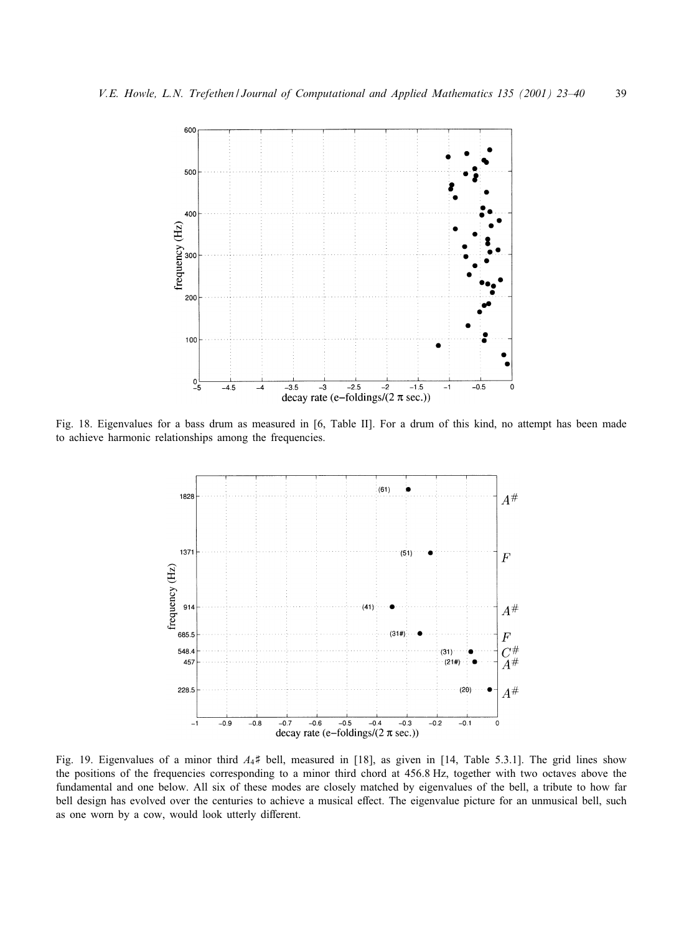

Fig. 18. Eigenvalues for a bass drum as measured in [6, Table II]. For a drum of this kind, no attempt has been made to achieve harmonic relationships among the frequencies.



Fig. 19. Eigenvalues of a minor third  $A_4$ # bell, measured in [18], as given in [14, Table 5.3.1]. The grid lines show the positions of the frequencies corresponding to a minor third chord at 456.8 Hz, together with two octaves above the fundamental and one below. All six of these modes are closely matched by eigenvalues of the bell, a tribute to how far bell design has evolved over the centuries to achieve a musical effect. The eigenvalue picture for an unmusical bell, such as one worn by a cow, would look utterly different.